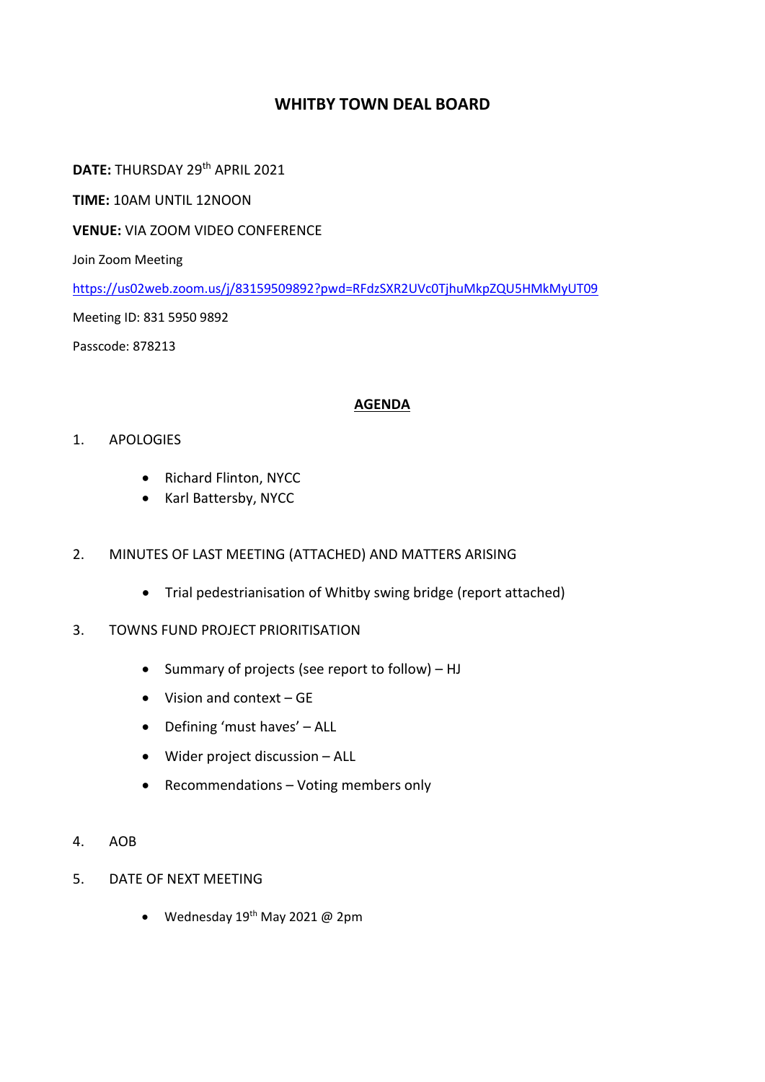## **WHITBY TOWN DEAL BOARD**

**DATE:** THURSDAY 29th APRIL 2021

**TIME:** 10AM UNTIL 12NOON

**VENUE:** VIA ZOOM VIDEO CONFERENCE

Join Zoom Meeting

<https://us02web.zoom.us/j/83159509892?pwd=RFdzSXR2UVc0TjhuMkpZQU5HMkMyUT09>

Meeting ID: 831 5950 9892

Passcode: 878213

#### **AGENDA**

#### 1. APOLOGIES

- Richard Flinton, NYCC
- Karl Battersby, NYCC

### 2. MINUTES OF LAST MEETING (ATTACHED) AND MATTERS ARISING

- Trial pedestrianisation of Whitby swing bridge (report attached)
- 3. TOWNS FUND PROJECT PRIORITISATION
	- Summary of projects (see report to follow) HJ
	- $\bullet$  Vision and context GF
	- Defining 'must haves' ALL
	- Wider project discussion ALL
	- Recommendations Voting members only
- 4. AOB
- 5. DATE OF NEXT MEETING
	- Wednesday  $19<sup>th</sup>$  May 2021 @ 2pm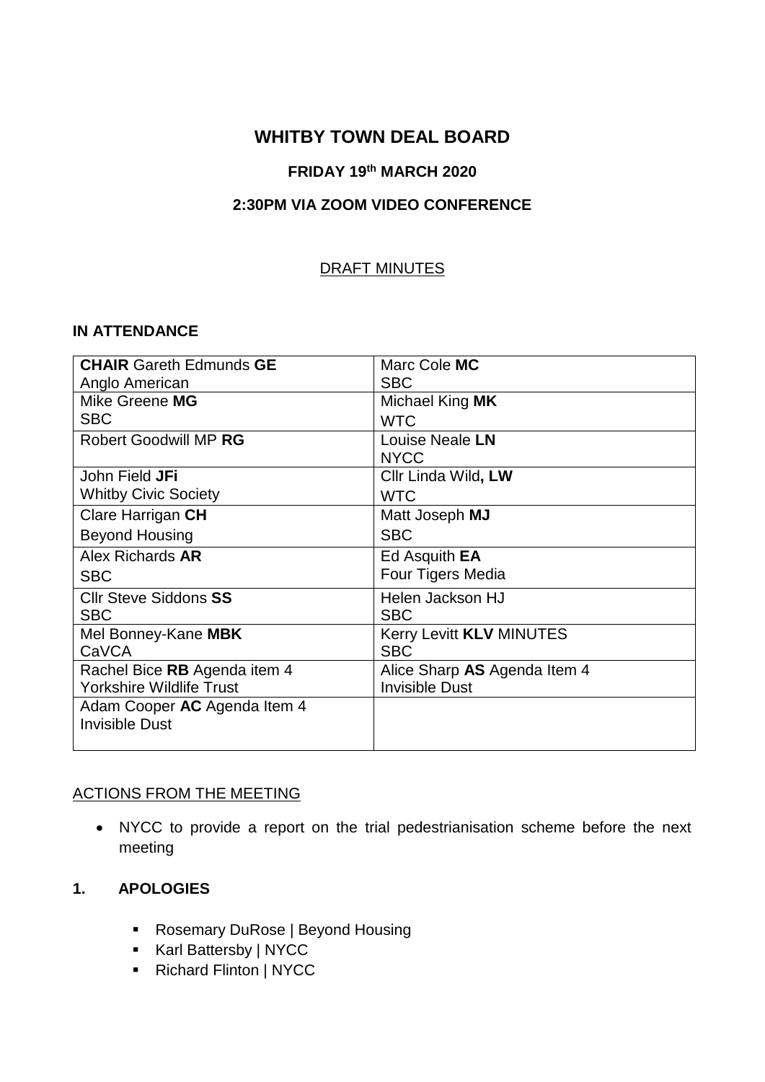# **WHITBY TOWN DEAL BOARD**

### **FRIDAY 19th MARCH 2020**

## **2:30PM VIA ZOOM VIDEO CONFERENCE**

### DRAFT MINUTES

### **IN ATTENDANCE**

| <b>CHAIR Gareth Edmunds GE</b>  | Marc Cole MC                    |
|---------------------------------|---------------------------------|
| Anglo American                  | <b>SBC</b>                      |
| Mike Greene MG                  | Michael King MK                 |
| <b>SBC</b>                      | <b>WTC</b>                      |
| Robert Goodwill MP RG           | Louise Neale LN                 |
|                                 | <b>NYCC</b>                     |
| John Field JFi                  | Cllr Linda Wild, LW             |
| <b>Whitby Civic Society</b>     | <b>WTC</b>                      |
| Clare Harrigan CH               | Matt Joseph MJ                  |
| <b>Beyond Housing</b>           | <b>SBC</b>                      |
| Alex Richards AR                | Ed Asquith <b>EA</b>            |
| <b>SBC</b>                      | Four Tigers Media               |
| <b>Cllr Steve Siddons SS</b>    | Helen Jackson HJ                |
| <b>SBC</b>                      | <b>SBC</b>                      |
| Mel Bonney-Kane MBK             | Kerry Levitt <b>KLV MINUTES</b> |
| CaVCA                           | <b>SBC</b>                      |
| Rachel Bice RB Agenda item 4    | Alice Sharp AS Agenda Item 4    |
| <b>Yorkshire Wildlife Trust</b> | <b>Invisible Dust</b>           |
| Adam Cooper AC Agenda Item 4    |                                 |
| <b>Invisible Dust</b>           |                                 |
|                                 |                                 |

### ACTIONS FROM THE MEETING

 NYCC to provide a report on the trial pedestrianisation scheme before the next meeting

### **1. APOLOGIES**

- Rosemary DuRose | Beyond Housing
- Karl Battersby | NYCC
- Richard Flinton | NYCC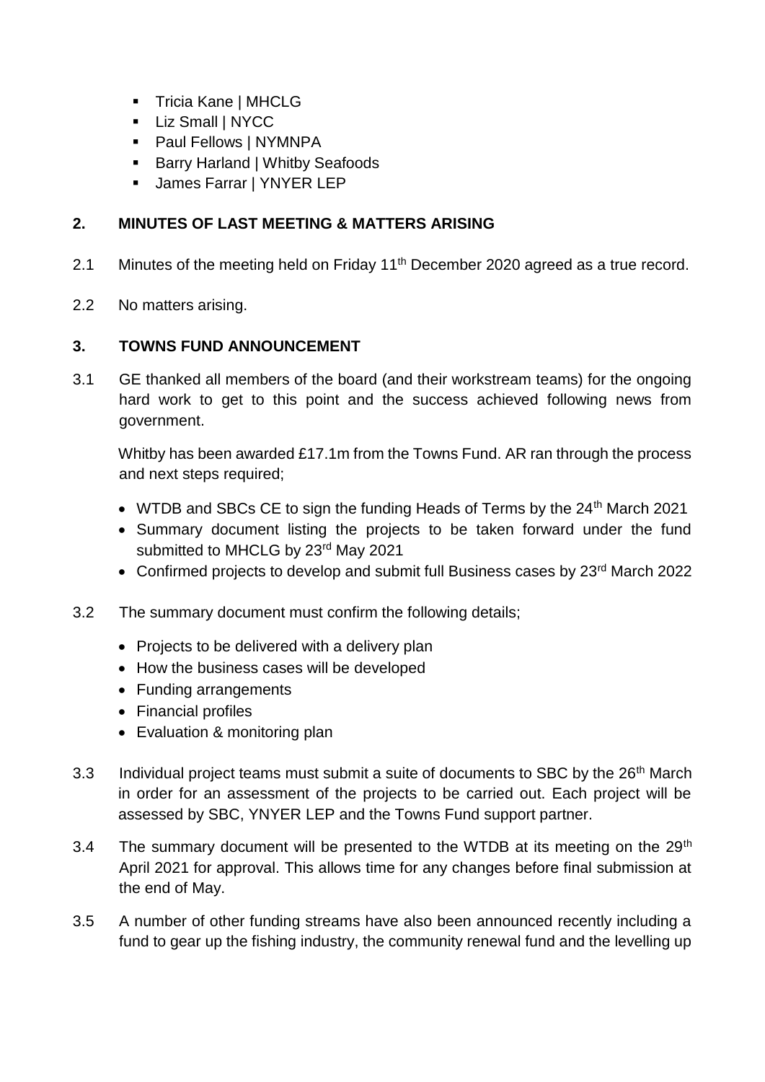- **Tricia Kane | MHCLG**
- **Liz Small | NYCC**
- **Paul Fellows | NYMNPA**
- Barry Harland | Whitby Seafoods
- James Farrar | YNYER LEP

# **2. MINUTES OF LAST MEETING & MATTERS ARISING**

- 2.1 Minutes of the meeting held on Friday 11<sup>th</sup> December 2020 agreed as a true record.
- 2.2 No matters arising.

## **3. TOWNS FUND ANNOUNCEMENT**

3.1 GE thanked all members of the board (and their workstream teams) for the ongoing hard work to get to this point and the success achieved following news from government.

Whitby has been awarded £17.1m from the Towns Fund. AR ran through the process and next steps required;

- WTDB and SBCs CE to sign the funding Heads of Terms by the 24<sup>th</sup> March 2021
- Summary document listing the projects to be taken forward under the fund submitted to MHCLG by 23<sup>rd</sup> May 2021
- Confirmed projects to develop and submit full Business cases by 23<sup>rd</sup> March 2022
- 3.2 The summary document must confirm the following details;
	- Projects to be delivered with a delivery plan
	- How the business cases will be developed
	- Funding arrangements
	- Financial profiles
	- Evaluation & monitoring plan
- 3.3 Individual project teams must submit a suite of documents to SBC by the 26<sup>th</sup> March in order for an assessment of the projects to be carried out. Each project will be assessed by SBC, YNYER LEP and the Towns Fund support partner.
- 3.4 The summary document will be presented to the WTDB at its meeting on the 29<sup>th</sup> April 2021 for approval. This allows time for any changes before final submission at the end of May.
- 3.5 A number of other funding streams have also been announced recently including a fund to gear up the fishing industry, the community renewal fund and the levelling up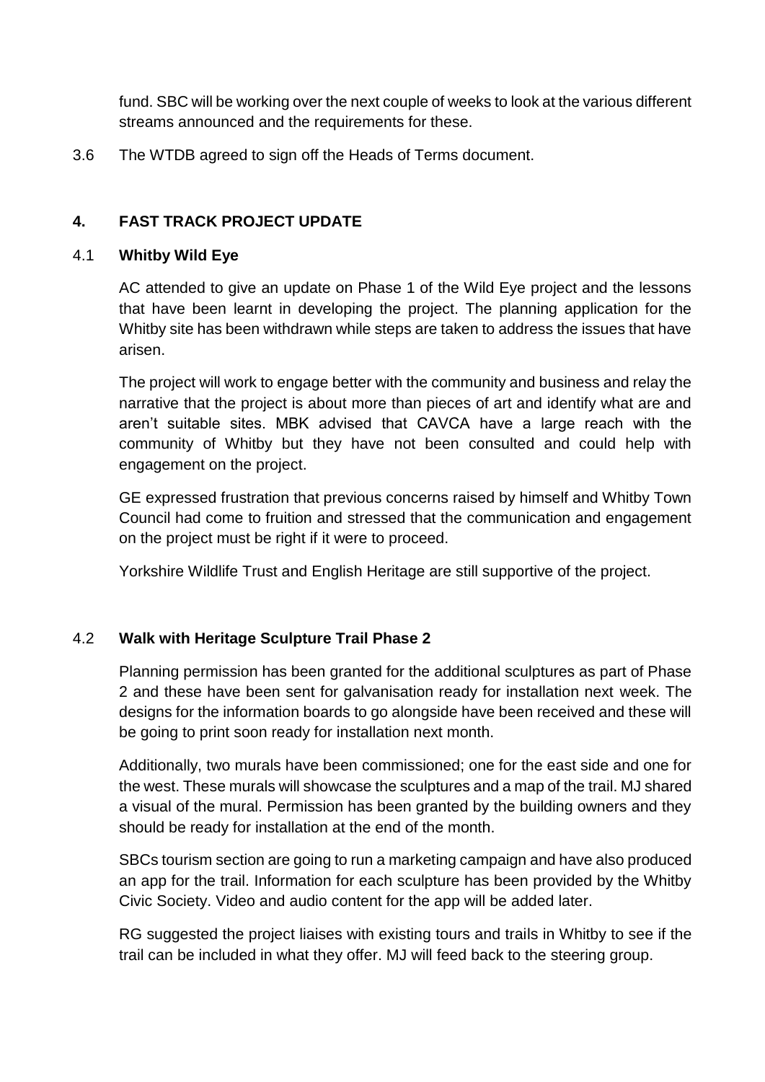fund. SBC will be working over the next couple of weeks to look at the various different streams announced and the requirements for these.

3.6 The WTDB agreed to sign off the Heads of Terms document.

## **4. FAST TRACK PROJECT UPDATE**

### 4.1 **Whitby Wild Eye**

AC attended to give an update on Phase 1 of the Wild Eye project and the lessons that have been learnt in developing the project. The planning application for the Whitby site has been withdrawn while steps are taken to address the issues that have arisen.

The project will work to engage better with the community and business and relay the narrative that the project is about more than pieces of art and identify what are and aren't suitable sites. MBK advised that CAVCA have a large reach with the community of Whitby but they have not been consulted and could help with engagement on the project.

GE expressed frustration that previous concerns raised by himself and Whitby Town Council had come to fruition and stressed that the communication and engagement on the project must be right if it were to proceed.

Yorkshire Wildlife Trust and English Heritage are still supportive of the project.

## 4.2 **Walk with Heritage Sculpture Trail Phase 2**

Planning permission has been granted for the additional sculptures as part of Phase 2 and these have been sent for galvanisation ready for installation next week. The designs for the information boards to go alongside have been received and these will be going to print soon ready for installation next month.

Additionally, two murals have been commissioned; one for the east side and one for the west. These murals will showcase the sculptures and a map of the trail. MJ shared a visual of the mural. Permission has been granted by the building owners and they should be ready for installation at the end of the month.

SBCs tourism section are going to run a marketing campaign and have also produced an app for the trail. Information for each sculpture has been provided by the Whitby Civic Society. Video and audio content for the app will be added later.

RG suggested the project liaises with existing tours and trails in Whitby to see if the trail can be included in what they offer. MJ will feed back to the steering group.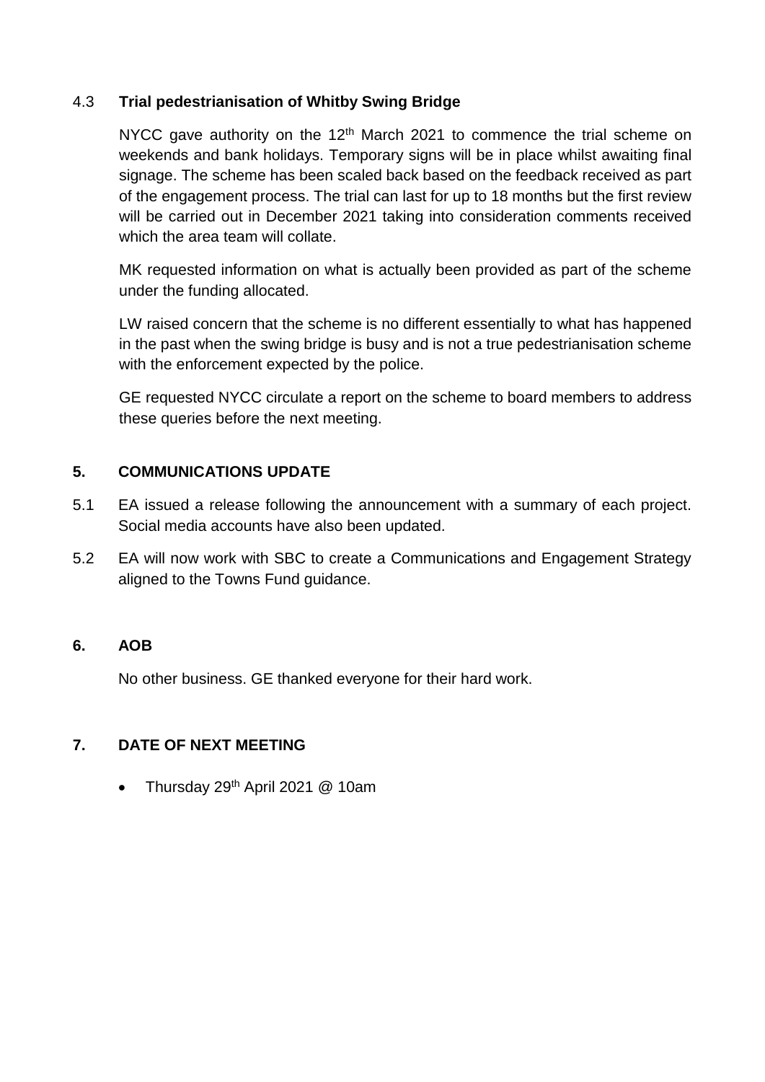## 4.3 **Trial pedestrianisation of Whitby Swing Bridge**

NYCC gave authority on the  $12<sup>th</sup>$  March 2021 to commence the trial scheme on weekends and bank holidays. Temporary signs will be in place whilst awaiting final signage. The scheme has been scaled back based on the feedback received as part of the engagement process. The trial can last for up to 18 months but the first review will be carried out in December 2021 taking into consideration comments received which the area team will collate.

MK requested information on what is actually been provided as part of the scheme under the funding allocated.

LW raised concern that the scheme is no different essentially to what has happened in the past when the swing bridge is busy and is not a true pedestrianisation scheme with the enforcement expected by the police.

GE requested NYCC circulate a report on the scheme to board members to address these queries before the next meeting.

## **5. COMMUNICATIONS UPDATE**

- 5.1 EA issued a release following the announcement with a summary of each project. Social media accounts have also been updated.
- 5.2 EA will now work with SBC to create a Communications and Engagement Strategy aligned to the Towns Fund guidance.

## **6. AOB**

No other business. GE thanked everyone for their hard work.

## **7. DATE OF NEXT MEETING**

Thursday 29th April 2021 @ 10am